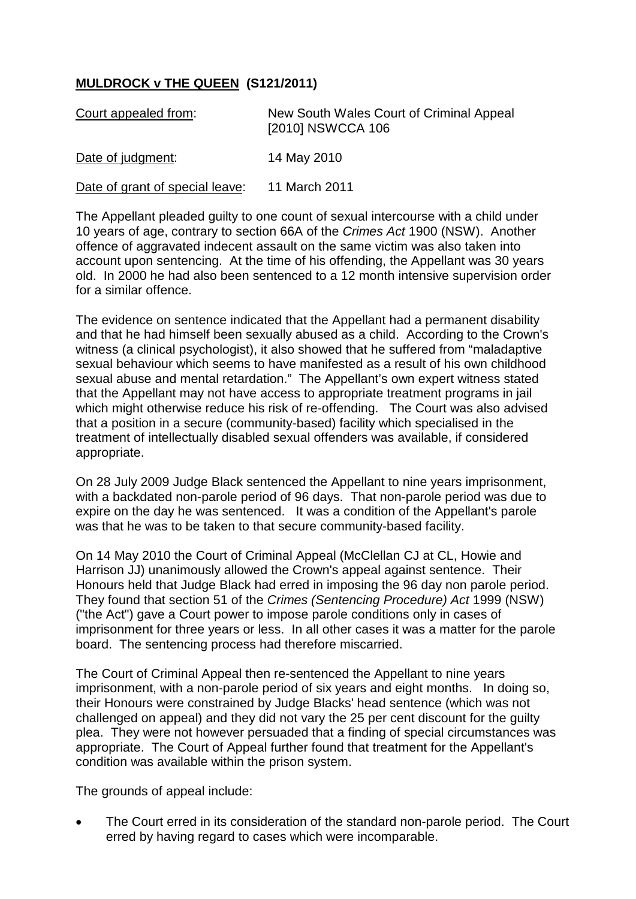## **MULDROCK v THE QUEEN (S121/2011)**

| Court appealed from:            | New South Wales Court of Criminal Appeal<br>[2010] NSWCCA 106 |
|---------------------------------|---------------------------------------------------------------|
| Date of judgment:               | 14 May 2010                                                   |
| Date of grant of special leave: | 11 March 2011                                                 |

The Appellant pleaded guilty to one count of sexual intercourse with a child under 10 years of age, contrary to section 66A of the *Crimes Act* 1900 (NSW). Another offence of aggravated indecent assault on the same victim was also taken into account upon sentencing. At the time of his offending, the Appellant was 30 years old. In 2000 he had also been sentenced to a 12 month intensive supervision order for a similar offence.

The evidence on sentence indicated that the Appellant had a permanent disability and that he had himself been sexually abused as a child. According to the Crown's witness (a clinical psychologist), it also showed that he suffered from "maladaptive sexual behaviour which seems to have manifested as a result of his own childhood sexual abuse and mental retardation." The Appellant's own expert witness stated that the Appellant may not have access to appropriate treatment programs in jail which might otherwise reduce his risk of re-offending. The Court was also advised that a position in a secure (community-based) facility which specialised in the treatment of intellectually disabled sexual offenders was available, if considered appropriate.

On 28 July 2009 Judge Black sentenced the Appellant to nine years imprisonment, with a backdated non-parole period of 96 days. That non-parole period was due to expire on the day he was sentenced. It was a condition of the Appellant's parole was that he was to be taken to that secure community-based facility.

On 14 May 2010 the Court of Criminal Appeal (McClellan CJ at CL, Howie and Harrison JJ) unanimously allowed the Crown's appeal against sentence. Their Honours held that Judge Black had erred in imposing the 96 day non parole period. They found that section 51 of the *Crimes (Sentencing Procedure) Act* 1999 (NSW) ("the Act") gave a Court power to impose parole conditions only in cases of imprisonment for three years or less. In all other cases it was a matter for the parole board. The sentencing process had therefore miscarried.

The Court of Criminal Appeal then re-sentenced the Appellant to nine years imprisonment, with a non-parole period of six years and eight months. In doing so, their Honours were constrained by Judge Blacks' head sentence (which was not challenged on appeal) and they did not vary the 25 per cent discount for the guilty plea. They were not however persuaded that a finding of special circumstances was appropriate. The Court of Appeal further found that treatment for the Appellant's condition was available within the prison system.

The grounds of appeal include:

The Court erred in its consideration of the standard non-parole period. The Court erred by having regard to cases which were incomparable.